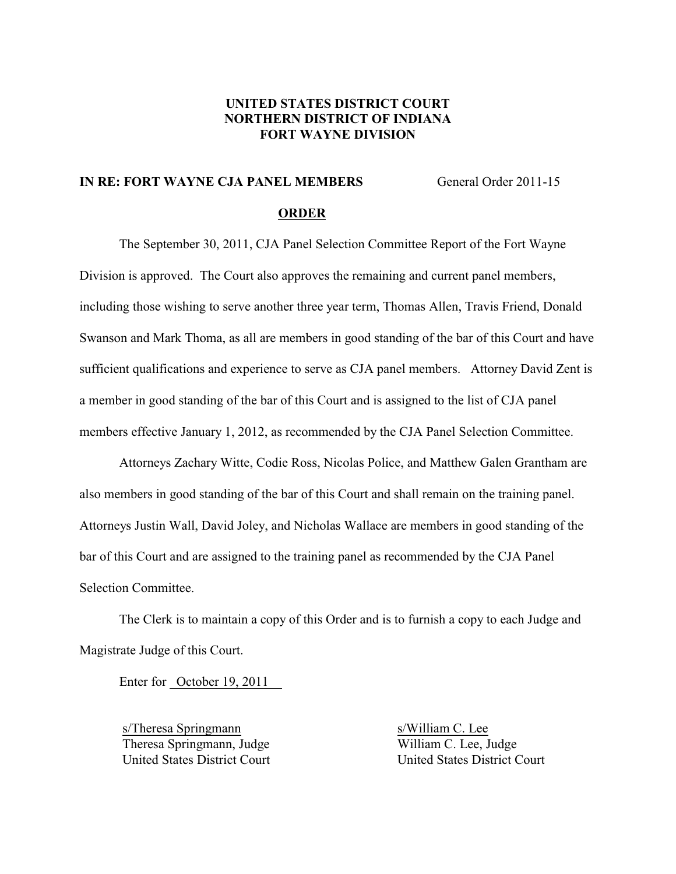### **UNITED STATES DISTRICT COURT NORTHERN DISTRICT OF INDIANA FORT WAYNE DIVISION**

# **IN RE: FORT WAYNE CJA PANEL MEMBERS** General Order 2011-15

#### **ORDER**

The September 30, 2011, CJA Panel Selection Committee Report of the Fort Wayne Division is approved. The Court also approves the remaining and current panel members, including those wishing to serve another three year term, Thomas Allen, Travis Friend, Donald Swanson and Mark Thoma, as all are members in good standing of the bar of this Court and have sufficient qualifications and experience to serve as CJA panel members. Attorney David Zent is a member in good standing of the bar of this Court and is assigned to the list of CJA panel members effective January 1, 2012, as recommended by the CJA Panel Selection Committee.

Attorneys Zachary Witte, Codie Ross, Nicolas Police, and Matthew Galen Grantham are also members in good standing of the bar of this Court and shall remain on the training panel. Attorneys Justin Wall, David Joley, and Nicholas Wallace are members in good standing of the bar of this Court and are assigned to the training panel as recommended by the CJA Panel Selection Committee.

The Clerk is to maintain a copy of this Order and is to furnish a copy to each Judge and Magistrate Judge of this Court.

Enter for October 19, 2011

s/Theresa Springmann s/William C. Lee United States District Court

Theresa Springmann, Judge<br>
United States District Court<br>
United States District Court<br>
United States District Court